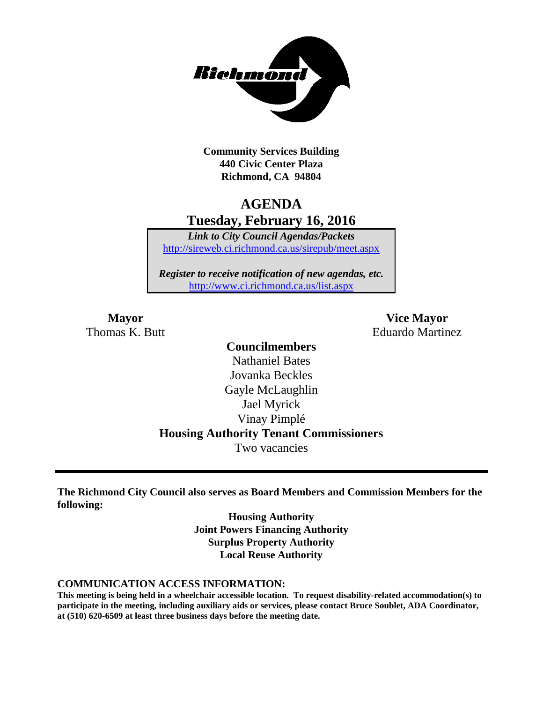

**Community Services Building 440 Civic Center Plaza Richmond, CA 94804**

# **AGENDA Tuesday, February 16, 2016**

*Link to City Council Agendas/Packets* <http://sireweb.ci.richmond.ca.us/sirepub/meet.aspx>

*Register to receive notification of new agendas, etc.* <http://www.ci.richmond.ca.us/list.aspx>

**Mayor Vice Mayor** Thomas K. Butt **Eduardo Martinez** 

# **Councilmembers** Nathaniel Bates Jovanka Beckles Gayle McLaughlin Jael Myrick Vinay Pimplé **Housing Authority Tenant Commissioners** Two vacancies

**The Richmond City Council also serves as Board Members and Commission Members for the following:**

> **Housing Authority Joint Powers Financing Authority Surplus Property Authority Local Reuse Authority**

#### **COMMUNICATION ACCESS INFORMATION:**

**This meeting is being held in a wheelchair accessible location. To request disability-related accommodation(s) to participate in the meeting, including auxiliary aids or services, please contact Bruce Soublet, ADA Coordinator, at (510) 620-6509 at least three business days before the meeting date.**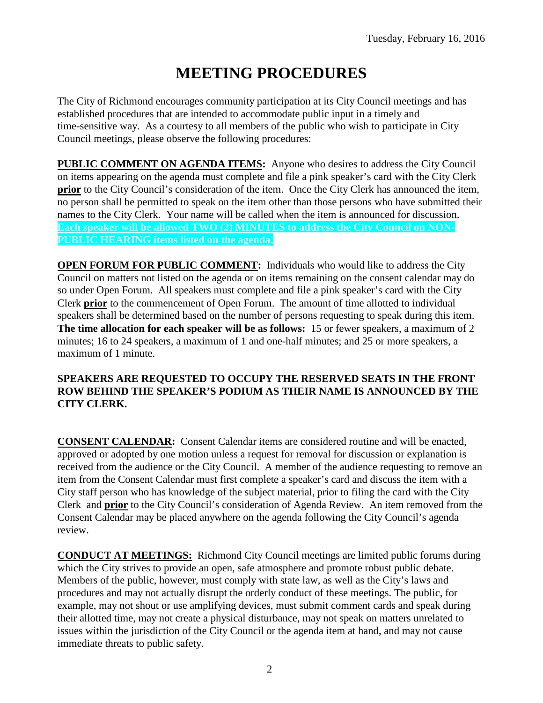# **MEETING PROCEDURES**

The City of Richmond encourages community participation at its City Council meetings and has established procedures that are intended to accommodate public input in a timely and time-sensitive way. As a courtesy to all members of the public who wish to participate in City Council meetings, please observe the following procedures:

**PUBLIC COMMENT ON AGENDA ITEMS:** Anyone who desires to address the City Council on items appearing on the agenda must complete and file a pink speaker's card with the City Clerk **prior** to the City Council's consideration of the item. Once the City Clerk has announced the item, no person shall be permitted to speak on the item other than those persons who have submitted their names to the City Clerk. Your name will be called when the item is announced for discussion. **Each speaker will be allowed TWO (2) MINUTES to address the City Council on NON-PUBLIC HEARING items listed on the agenda.**

**OPEN FORUM FOR PUBLIC COMMENT:** Individuals who would like to address the City Council on matters not listed on the agenda or on items remaining on the consent calendar may do so under Open Forum. All speakers must complete and file a pink speaker's card with the City Clerk **prior** to the commencement of Open Forum. The amount of time allotted to individual speakers shall be determined based on the number of persons requesting to speak during this item. **The time allocation for each speaker will be as follows:** 15 or fewer speakers, a maximum of 2 minutes; 16 to 24 speakers, a maximum of 1 and one-half minutes; and 25 or more speakers, a maximum of 1 minute.

## **SPEAKERS ARE REQUESTED TO OCCUPY THE RESERVED SEATS IN THE FRONT ROW BEHIND THE SPEAKER'S PODIUM AS THEIR NAME IS ANNOUNCED BY THE CITY CLERK.**

**CONSENT CALENDAR:** Consent Calendar items are considered routine and will be enacted, approved or adopted by one motion unless a request for removal for discussion or explanation is received from the audience or the City Council. A member of the audience requesting to remove an item from the Consent Calendar must first complete a speaker's card and discuss the item with a City staff person who has knowledge of the subject material, prior to filing the card with the City Clerk and **prior** to the City Council's consideration of Agenda Review. An item removed from the Consent Calendar may be placed anywhere on the agenda following the City Council's agenda review.

**CONDUCT AT MEETINGS:** Richmond City Council meetings are limited public forums during which the City strives to provide an open, safe atmosphere and promote robust public debate. Members of the public, however, must comply with state law, as well as the City's laws and procedures and may not actually disrupt the orderly conduct of these meetings. The public, for example, may not shout or use amplifying devices, must submit comment cards and speak during their allotted time, may not create a physical disturbance, may not speak on matters unrelated to issues within the jurisdiction of the City Council or the agenda item at hand, and may not cause immediate threats to public safety.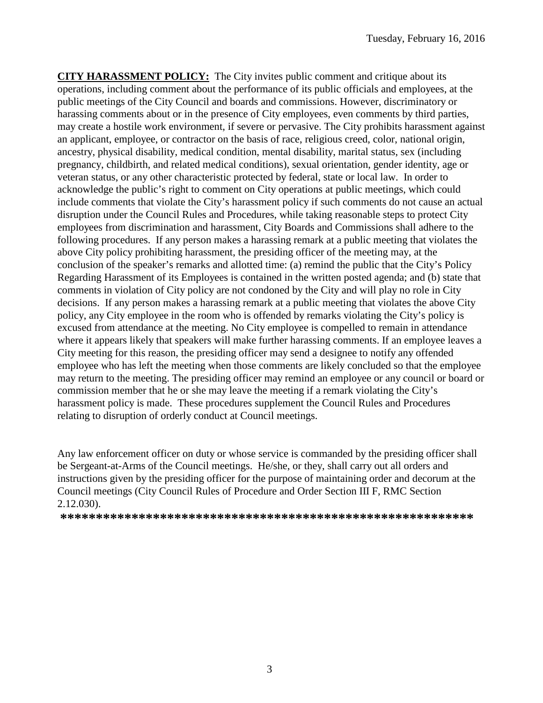**CITY HARASSMENT POLICY:** The City invites public comment and critique about its operations, including comment about the performance of its public officials and employees, at the public meetings of the City Council and boards and commissions. However, discriminatory or harassing comments about or in the presence of City employees, even comments by third parties, may create a hostile work environment, if severe or pervasive. The City prohibits harassment against an applicant, employee, or contractor on the basis of race, religious creed, color, national origin, ancestry, physical disability, medical condition, mental disability, marital status, sex (including pregnancy, childbirth, and related medical conditions), sexual orientation, gender identity, age or veteran status, or any other characteristic protected by federal, state or local law. In order to acknowledge the public's right to comment on City operations at public meetings, which could include comments that violate the City's harassment policy if such comments do not cause an actual disruption under the Council Rules and Procedures, while taking reasonable steps to protect City employees from discrimination and harassment, City Boards and Commissions shall adhere to the following procedures. If any person makes a harassing remark at a public meeting that violates the above City policy prohibiting harassment, the presiding officer of the meeting may, at the conclusion of the speaker's remarks and allotted time: (a) remind the public that the City's Policy Regarding Harassment of its Employees is contained in the written posted agenda; and (b) state that comments in violation of City policy are not condoned by the City and will play no role in City decisions. If any person makes a harassing remark at a public meeting that violates the above City policy, any City employee in the room who is offended by remarks violating the City's policy is excused from attendance at the meeting. No City employee is compelled to remain in attendance where it appears likely that speakers will make further harassing comments. If an employee leaves a City meeting for this reason, the presiding officer may send a designee to notify any offended employee who has left the meeting when those comments are likely concluded so that the employee may return to the meeting. The presiding officer may remind an employee or any council or board or commission member that he or she may leave the meeting if a remark violating the City's harassment policy is made. These procedures supplement the Council Rules and Procedures relating to disruption of orderly conduct at Council meetings.

Any law enforcement officer on duty or whose service is commanded by the presiding officer shall be Sergeant-at-Arms of the Council meetings. He/she, or they, shall carry out all orders and instructions given by the presiding officer for the purpose of maintaining order and decorum at the Council meetings (City Council Rules of Procedure and Order Section III F, RMC Section 2.12.030).

**\*\*\*\*\*\*\*\*\*\*\*\*\*\*\*\*\*\*\*\*\*\*\*\*\*\*\*\*\*\*\*\*\*\*\*\*\*\*\*\*\*\*\*\*\*\*\*\*\*\*\*\*\*\*\*\*\*\***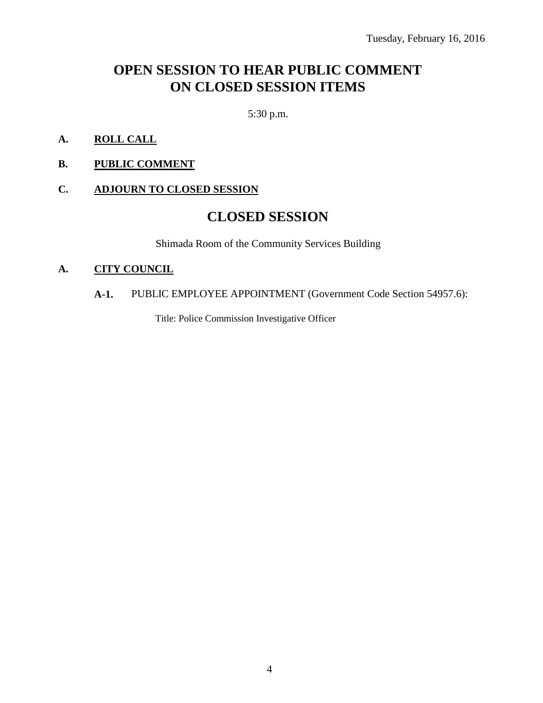# **OPEN SESSION TO HEAR PUBLIC COMMENT ON CLOSED SESSION ITEMS**

5:30 p.m.

- **A. ROLL CALL**
- **B. PUBLIC COMMENT**

#### **C. ADJOURN TO CLOSED SESSION**

# **CLOSED SESSION**

Shimada Room of the Community Services Building

#### **A. CITY COUNCIL**

# **A-1.** PUBLIC EMPLOYEE APPOINTMENT (Government Code Section 54957.6):

Title: Police Commission Investigative Officer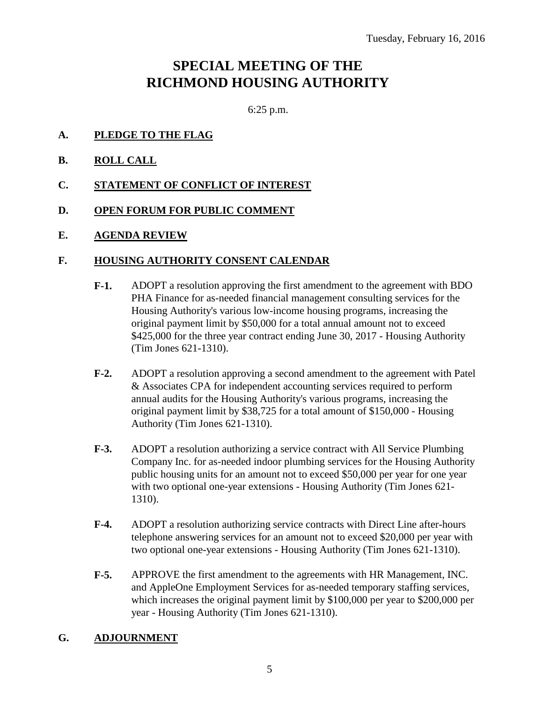# **SPECIAL MEETING OF THE RICHMOND HOUSING AUTHORITY**

6:25 p.m.

- **A. PLEDGE TO THE FLAG**
- **B. ROLL CALL**
- **C. STATEMENT OF CONFLICT OF INTEREST**
- **D. OPEN FORUM FOR PUBLIC COMMENT**
- **E. AGENDA REVIEW**

#### **F. HOUSING AUTHORITY CONSENT CALENDAR**

- **F-1.** ADOPT a resolution approving the first amendment to the agreement with BDO PHA Finance for as-needed financial management consulting services for the Housing Authority's various low-income housing programs, increasing the original payment limit by \$50,000 for a total annual amount not to exceed \$425,000 for the three year contract ending June 30, 2017 - Housing Authority (Tim Jones 621-1310).
- **F-2.** ADOPT a resolution approving a second amendment to the agreement with Patel & Associates CPA for independent accounting services required to perform annual audits for the Housing Authority's various programs, increasing the original payment limit by \$38,725 for a total amount of \$150,000 - Housing Authority (Tim Jones 621-1310).
- **F-3.** ADOPT a resolution authorizing a service contract with All Service Plumbing Company Inc. for as-needed indoor plumbing services for the Housing Authority public housing units for an amount not to exceed \$50,000 per year for one year with two optional one-year extensions - Housing Authority (Tim Jones 621- 1310).
- **F-4.** ADOPT a resolution authorizing service contracts with Direct Line after-hours telephone answering services for an amount not to exceed \$20,000 per year with two optional one-year extensions - Housing Authority (Tim Jones 621-1310).
- **F-5.** APPROVE the first amendment to the agreements with HR Management, INC. and AppleOne Employment Services for as-needed temporary staffing services, which increases the original payment limit by \$100,000 per year to \$200,000 per year - Housing Authority (Tim Jones 621-1310).

#### **G. ADJOURNMENT**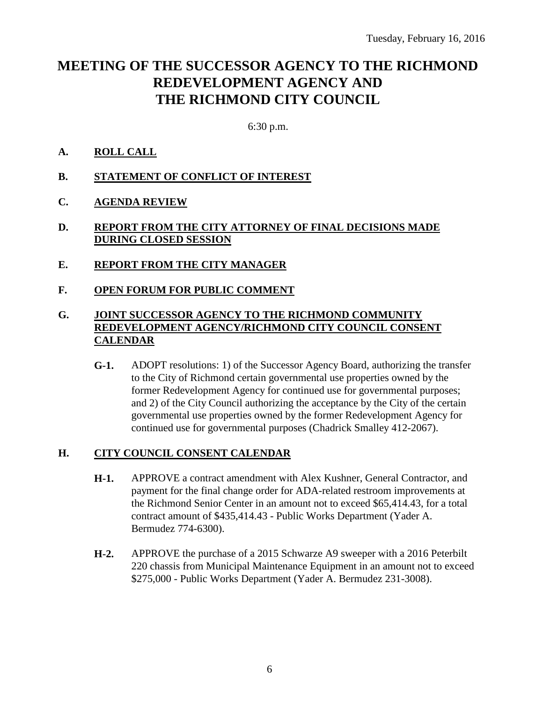# **MEETING OF THE SUCCESSOR AGENCY TO THE RICHMOND REDEVELOPMENT AGENCY AND THE RICHMOND CITY COUNCIL**

6:30 p.m.

# **A. ROLL CALL**

- **B. STATEMENT OF CONFLICT OF INTEREST**
- **C. AGENDA REVIEW**

### **D. REPORT FROM THE CITY ATTORNEY OF FINAL DECISIONS MADE DURING CLOSED SESSION**

- **E. REPORT FROM THE CITY MANAGER**
- **F. OPEN FORUM FOR PUBLIC COMMENT**

# **G. JOINT SUCCESSOR AGENCY TO THE RICHMOND COMMUNITY REDEVELOPMENT AGENCY/RICHMOND CITY COUNCIL CONSENT CALENDAR**

**G-1.** ADOPT resolutions: 1) of the Successor Agency Board, authorizing the transfer to the City of Richmond certain governmental use properties owned by the former Redevelopment Agency for continued use for governmental purposes; and 2) of the City Council authorizing the acceptance by the City of the certain governmental use properties owned by the former Redevelopment Agency for continued use for governmental purposes (Chadrick Smalley 412-2067).

#### **H. CITY COUNCIL CONSENT CALENDAR**

- **H-1.** APPROVE a contract amendment with Alex Kushner, General Contractor, and payment for the final change order for ADA-related restroom improvements at the Richmond Senior Center in an amount not to exceed \$65,414.43, for a total contract amount of \$435,414.43 - Public Works Department (Yader A. Bermudez 774-6300).
- **H-2.** APPROVE the purchase of a 2015 Schwarze A9 sweeper with a 2016 Peterbilt 220 chassis from Municipal Maintenance Equipment in an amount not to exceed \$275,000 - Public Works Department (Yader A. Bermudez 231-3008).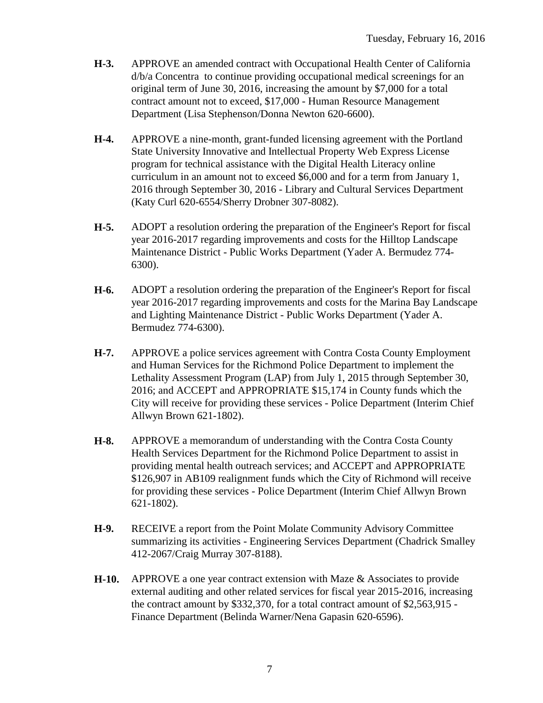- **H-3.** APPROVE an amended contract with Occupational Health Center of California d/b/a Concentra to continue providing occupational medical screenings for an original term of June 30, 2016, increasing the amount by \$7,000 for a total contract amount not to exceed, \$17,000 - Human Resource Management Department (Lisa Stephenson/Donna Newton 620-6600).
- **H-4.** APPROVE a nine-month, grant-funded licensing agreement with the Portland State University Innovative and Intellectual Property Web Express License program for technical assistance with the Digital Health Literacy online curriculum in an amount not to exceed \$6,000 and for a term from January 1, 2016 through September 30, 2016 - Library and Cultural Services Department (Katy Curl 620-6554/Sherry Drobner 307-8082).
- **H-5.** ADOPT a resolution ordering the preparation of the Engineer's Report for fiscal year 2016-2017 regarding improvements and costs for the Hilltop Landscape Maintenance District - Public Works Department (Yader A. Bermudez 774- 6300).
- **H-6.** ADOPT a resolution ordering the preparation of the Engineer's Report for fiscal year 2016-2017 regarding improvements and costs for the Marina Bay Landscape and Lighting Maintenance District - Public Works Department (Yader A. Bermudez 774-6300).
- **H-7.** APPROVE a police services agreement with Contra Costa County Employment and Human Services for the Richmond Police Department to implement the Lethality Assessment Program (LAP) from July 1, 2015 through September 30, 2016; and ACCEPT and APPROPRIATE \$15,174 in County funds which the City will receive for providing these services - Police Department (Interim Chief Allwyn Brown 621-1802).
- **H-8.** APPROVE a memorandum of understanding with the Contra Costa County Health Services Department for the Richmond Police Department to assist in providing mental health outreach services; and ACCEPT and APPROPRIATE \$126,907 in AB109 realignment funds which the City of Richmond will receive for providing these services - Police Department (Interim Chief Allwyn Brown 621-1802).
- **H-9.** RECEIVE a report from the Point Molate Community Advisory Committee summarizing its activities - Engineering Services Department (Chadrick Smalley 412-2067/Craig Murray 307-8188).
- **H-10.** APPROVE a one year contract extension with Maze & Associates to provide external auditing and other related services for fiscal year 2015-2016, increasing the contract amount by \$332,370, for a total contract amount of \$2,563,915 - Finance Department (Belinda Warner/Nena Gapasin 620-6596).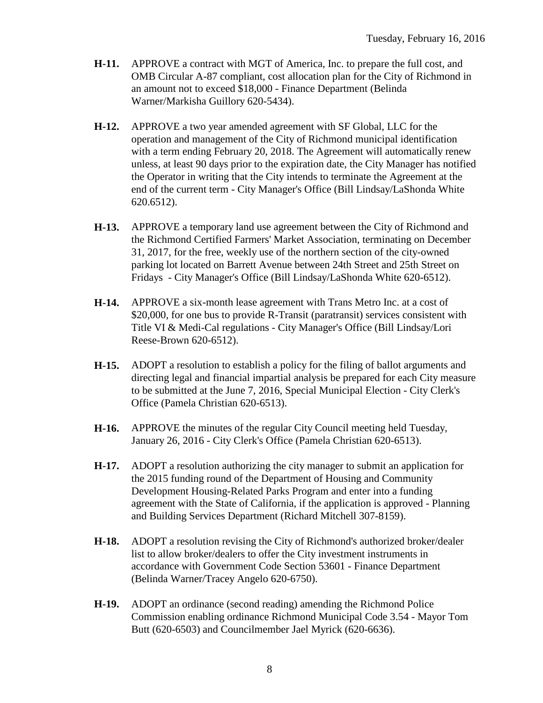- **H-11.** APPROVE a contract with MGT of America, Inc. to prepare the full cost, and OMB Circular A-87 compliant, cost allocation plan for the City of Richmond in an amount not to exceed \$18,000 - Finance Department (Belinda Warner/Markisha Guillory 620-5434).
- **H-12.** APPROVE a two year amended agreement with SF Global, LLC for the operation and management of the City of Richmond municipal identification with a term ending February 20, 2018. The Agreement will automatically renew unless, at least 90 days prior to the expiration date, the City Manager has notified the Operator in writing that the City intends to terminate the Agreement at the end of the current term - City Manager's Office (Bill Lindsay/LaShonda White 620.6512).
- **H-13.** APPROVE a temporary land use agreement between the City of Richmond and the Richmond Certified Farmers' Market Association, terminating on December 31, 2017, for the free, weekly use of the northern section of the city-owned parking lot located on Barrett Avenue between 24th Street and 25th Street on Fridays - City Manager's Office (Bill Lindsay/LaShonda White 620-6512).
- **H-14.** APPROVE a six-month lease agreement with Trans Metro Inc. at a cost of \$20,000, for one bus to provide R-Transit (paratransit) services consistent with Title VI & Medi-Cal regulations - City Manager's Office (Bill Lindsay/Lori Reese-Brown 620-6512).
- **H-15.** ADOPT a resolution to establish a policy for the filing of ballot arguments and directing legal and financial impartial analysis be prepared for each City measure to be submitted at the June 7, 2016, Special Municipal Election - City Clerk's Office (Pamela Christian 620-6513).
- **H-16.** APPROVE the minutes of the regular City Council meeting held Tuesday, January 26, 2016 - City Clerk's Office (Pamela Christian 620-6513).
- **H-17.** ADOPT a resolution authorizing the city manager to submit an application for the 2015 funding round of the Department of Housing and Community Development Housing-Related Parks Program and enter into a funding agreement with the State of California, if the application is approved - Planning and Building Services Department (Richard Mitchell 307-8159).
- **H-18.** ADOPT a resolution revising the City of Richmond's authorized broker/dealer list to allow broker/dealers to offer the City investment instruments in accordance with Government Code Section 53601 - Finance Department (Belinda Warner/Tracey Angelo 620-6750).
- **H-19.** ADOPT an ordinance (second reading) amending the Richmond Police Commission enabling ordinance Richmond Municipal Code 3.54 - Mayor Tom Butt (620-6503) and Councilmember Jael Myrick (620-6636).